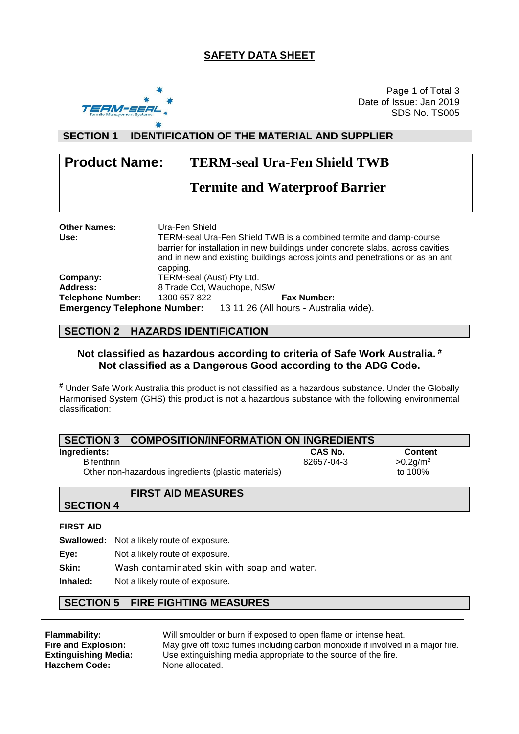### **SAFETY DATA SHEET**



Page 1 of Total 3 Date of Issue: Jan 2019 SDS No. TS005

### **SECTION 1 IDENTIFICATION OF THE MATERIAL AND SUPPLIER**

# **Product Name: TERM-seal Ura-Fen Shield TWB**

# **Termite and Waterproof Barrier**

| <b>Other Names:</b>      | Ura-Fen Shield                                                                                                                                                                                                                         |                                                                           |
|--------------------------|----------------------------------------------------------------------------------------------------------------------------------------------------------------------------------------------------------------------------------------|---------------------------------------------------------------------------|
| Use:                     | TERM-seal Ura-Fen Shield TWB is a combined termite and damp-course<br>barrier for installation in new buildings under concrete slabs, across cavities<br>and in new and existing buildings across joints and penetrations or as an ant |                                                                           |
|                          | capping.                                                                                                                                                                                                                               |                                                                           |
| Company:                 | TERM-seal (Aust) Pty Ltd.                                                                                                                                                                                                              |                                                                           |
| <b>Address:</b>          |                                                                                                                                                                                                                                        | 8 Trade Cct, Wauchope, NSW                                                |
| <b>Telephone Number:</b> | 1300 657 822                                                                                                                                                                                                                           | <b>Fax Number:</b>                                                        |
|                          |                                                                                                                                                                                                                                        | <b>Emergency Telephone Number:</b> 13 11 26 (All hours - Australia wide). |

### **SECTION 2 HAZARDS IDENTIFICATION**

#### **Not classified as hazardous according to criteria of Safe Work Australia. # Not classified as a Dangerous Good according to the ADG Code.**

**#** Under Safe Work Australia this product is not classified as a hazardous substance. Under the Globally Harmonised System (GHS) this product is not a hazardous substance with the following environmental classification:

| <b>SECTION 3   COMPOSITION/INFORMATION ON INGREDIENTS</b> |                |                         |
|-----------------------------------------------------------|----------------|-------------------------|
| Ingredients:                                              | <b>CAS No.</b> | <b>Content</b>          |
| <b>Bifenthrin</b>                                         | 82657-04-3     | $>0.2$ g/m <sup>2</sup> |
| Other non-hazardous ingredients (plastic materials)       |                | to 100%                 |

|                  | <b>FIRST AID MEASURES</b> |
|------------------|---------------------------|
| <b>SECTION 4</b> |                           |
|                  |                           |

#### **FIRST AID**

**Swallowed:** Not a likely route of exposure.

**Eye:** Not a likely route of exposure.

**Skin:** Wash contaminated skin with soap and water.

**Inhaled:** Not a likely route of exposure.

#### **SECTION 5 FIRE FIGHTING MEASURES**

| Flammability:               | Will smoulder or burn if exposed to open flame or intense heat.                 |
|-----------------------------|---------------------------------------------------------------------------------|
| <b>Fire and Explosion:</b>  | May give off toxic fumes including carbon monoxide if involved in a major fire. |
| <b>Extinguishing Media:</b> | Use extinguishing media appropriate to the source of the fire.                  |
| <b>Hazchem Code:</b>        | None allocated.                                                                 |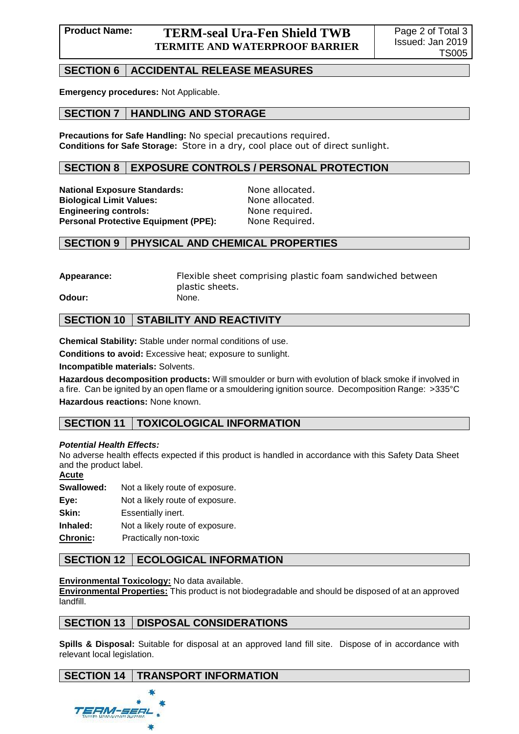# **SECTION 6** | ACCIDENTAL RELEASE MEASURES

**Emergency procedures:** Not Applicable.

## **SECTION 7 HANDLING AND STORAGE**

**Precautions for Safe Handling:** No special precautions required. **Conditions for Safe Storage:** Store in a dry, cool place out of direct sunlight.

### **SECTION 8 EXPOSURE CONTROLS / PERSONAL PROTECTION**

**National Exposure Standards:** None allocated. **Biological Limit Values:** None allocated. **Engineering controls:** None required. **Personal Protective Equipment (PPE):** None Required.

#### **SECTION 9 PHYSICAL AND CHEMICAL PROPERTIES**

**Appearance:** Flexible sheet comprising plastic foam sandwiched between plastic sheets.

**Odour:** None.

## **SECTION 10 STABILITY AND REACTIVITY**

**Chemical Stability:** Stable under normal conditions of use.

**Conditions to avoid:** Excessive heat; exposure to sunlight.

**Incompatible materials:** Solvents.

**Hazardous decomposition products:** Will smoulder or burn with evolution of black smoke if involved in a fire. Can be ignited by an open flame or a smouldering ignition source. Decomposition Range: >335°C **Hazardous reactions:** None known.

### **SECTION 11 TOXICOLOGICAL INFORMATION**

#### *Potential Health Effects:*

No adverse health effects expected if this product is handled in accordance with this Safety Data Sheet and the product label.

#### **Acute**

**Swallowed:** Not a likely route of exposure. **Eye:** Not a likely route of exposure. **Skin:** Essentially inert. **Inhaled:** Not a likely route of exposure.

**Chronic:** Practically non-toxic

### **SECTION 12 | ECOLOGICAL INFORMATION**

#### **Environmental Toxicology:** No data available.

**Environmental Properties:** This product is not biodegradable and should be disposed of at an approved landfill.

### **SECTION 13 DISPOSAL CONSIDERATIONS**

**Spills & Disposal:** Suitable for disposal at an approved land fill site. Dispose of in accordance with relevant local legislation.

# **SECTION 14 | TRANSPORT INFORMATION**

EFM-SERI